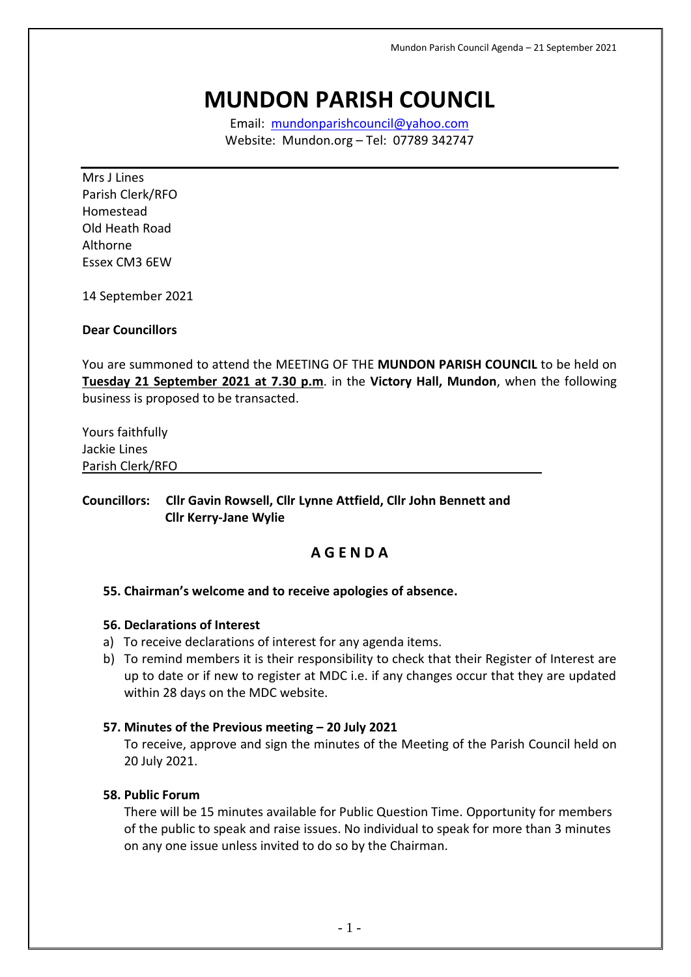# **MUNDON PARISH COUNCIL**

Email: [mundonparishcouncil@yahoo.com](mailto:mundonparishcouncil@yahoo.com) Website: Mundon.org – Tel: 07789 342747

Mrs J Lines Parish Clerk/RFO Homestead Old Heath Road Althorne Essex CM3 6EW

14 September 2021

### **Dear Councillors**

You are summoned to attend the MEETING OF THE **MUNDON PARISH COUNCIL** to be held on **Tuesday 21 September 2021 at 7.30 p.m**. in the **Victory Hall, Mundon**, when the following business is proposed to be transacted.

Yours faithfully Jackie Lines Parish Clerk/RFO

### **Councillors: Cllr Gavin Rowsell, Cllr Lynne Attfield, Cllr John Bennett and Cllr Kerry-Jane Wylie**

# **A G E N D A**

### **55. Chairman's welcome and to receive apologies of absence.**

### **56. Declarations of Interest**

- a) To receive declarations of interest for any agenda items.
- b) To remind members it is their responsibility to check that their Register of Interest are up to date or if new to register at MDC i.e. if any changes occur that they are updated within 28 days on the MDC website.

### **57. Minutes of the Previous meeting – 20 July 2021**

To receive, approve and sign the minutes of the Meeting of the Parish Council held on 20 July 2021.

### **58. Public Forum**

There will be 15 minutes available for Public Question Time. Opportunity for members of the public to speak and raise issues. No individual to speak for more than 3 minutes on any one issue unless invited to do so by the Chairman.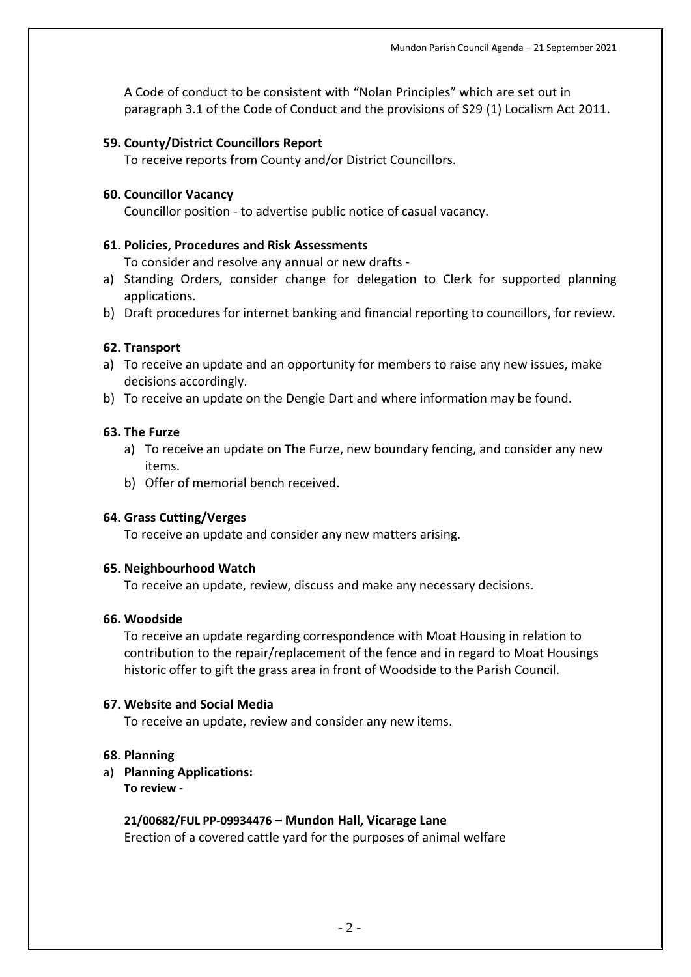A Code of conduct to be consistent with "Nolan Principles" which are set out in paragraph 3.1 of the Code of Conduct and the provisions of S29 (1) Localism Act 2011.

### **59. County/District Councillors Report**

To receive reports from County and/or District Councillors.

### **60. Councillor Vacancy**

Councillor position - to advertise public notice of casual vacancy.

### **61. Policies, Procedures and Risk Assessments**

To consider and resolve any annual or new drafts -

- a) Standing Orders, consider change for delegation to Clerk for supported planning applications.
- b) Draft procedures for internet banking and financial reporting to councillors, for review.

### **62. Transport**

- a) To receive an update and an opportunity for members to raise any new issues, make decisions accordingly.
- b) To receive an update on the Dengie Dart and where information may be found.

### **63. The Furze**

- a) To receive an update on The Furze, new boundary fencing, and consider any new items.
- b) Offer of memorial bench received.

### **64. Grass Cutting/Verges**

To receive an update and consider any new matters arising.

### **65. Neighbourhood Watch**

To receive an update, review, discuss and make any necessary decisions.

### **66. Woodside**

To receive an update regarding correspondence with Moat Housing in relation to contribution to the repair/replacement of the fence and in regard to Moat Housings historic offer to gift the grass area in front of Woodside to the Parish Council.

### **67. Website and Social Media**

To receive an update, review and consider any new items.

### **68. Planning**

## a) **Planning Applications:**

**To review -**

# **21/00682/FUL PP-09934476 – Mundon Hall, Vicarage Lane**

Erection of a covered cattle yard for the purposes of animal welfare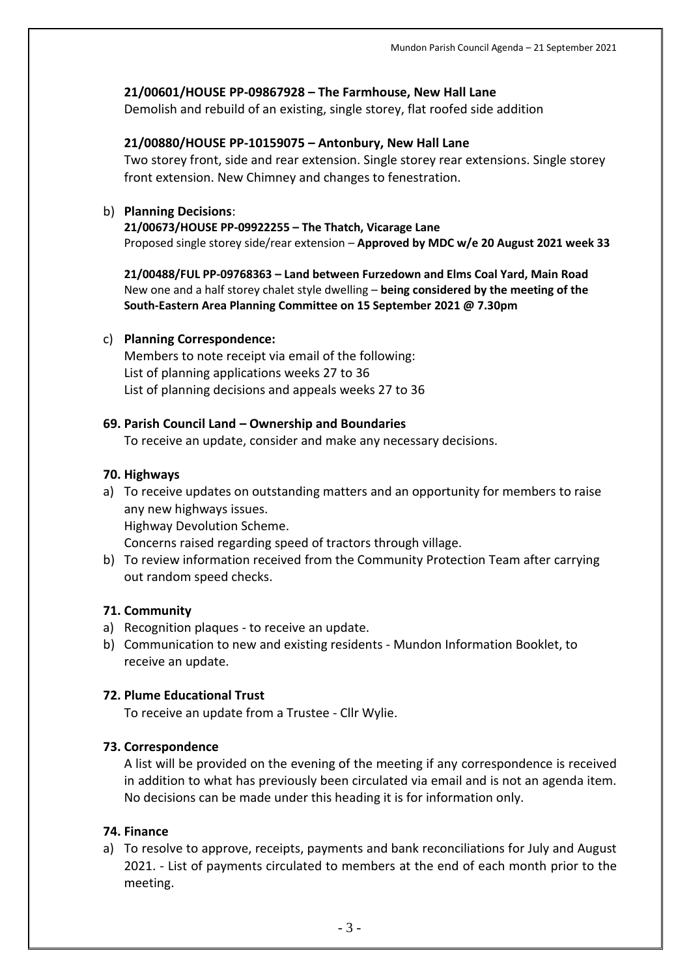## **21/00601/HOUSE PP-09867928 – The Farmhouse, New Hall Lane**

Demolish and rebuild of an existing, single storey, flat roofed side addition

### **21/00880/HOUSE PP-10159075 – Antonbury, New Hall Lane**

Two storey front, side and rear extension. Single storey rear extensions. Single storey front extension. New Chimney and changes to fenestration.

### b) **Planning Decisions**:

**21/00673/HOUSE PP-09922255 – The Thatch, Vicarage Lane** Proposed single storey side/rear extension – **Approved by MDC w/e 20 August 2021 week 33**

**21/00488/FUL PP-09768363 – Land between Furzedown and Elms Coal Yard, Main Road** New one and a half storey chalet style dwelling – **being considered by the meeting of the South-Eastern Area Planning Committee on 15 September 2021 @ 7.30pm**

### c) **Planning Correspondence:**

Members to note receipt via email of the following: List of planning applications weeks 27 to 36 List of planning decisions and appeals weeks 27 to 36

### **69. Parish Council Land – Ownership and Boundaries**

To receive an update, consider and make any necessary decisions.

### **70. Highways**

a) To receive updates on outstanding matters and an opportunity for members to raise any new highways issues. Highway Devolution Scheme.

Concerns raised regarding speed of tractors through village.

b) To review information received from the Community Protection Team after carrying out random speed checks.

### **71. Community**

- a) Recognition plaques to receive an update.
- b) Communication to new and existing residents Mundon Information Booklet, to receive an update.

### **72. Plume Educational Trust**

To receive an update from a Trustee - Cllr Wylie.

### **73. Correspondence**

A list will be provided on the evening of the meeting if any correspondence is received in addition to what has previously been circulated via email and is not an agenda item. No decisions can be made under this heading it is for information only.

### **74. Finance**

a) To resolve to approve, receipts, payments and bank reconciliations for July and August 2021. - List of payments circulated to members at the end of each month prior to the meeting.